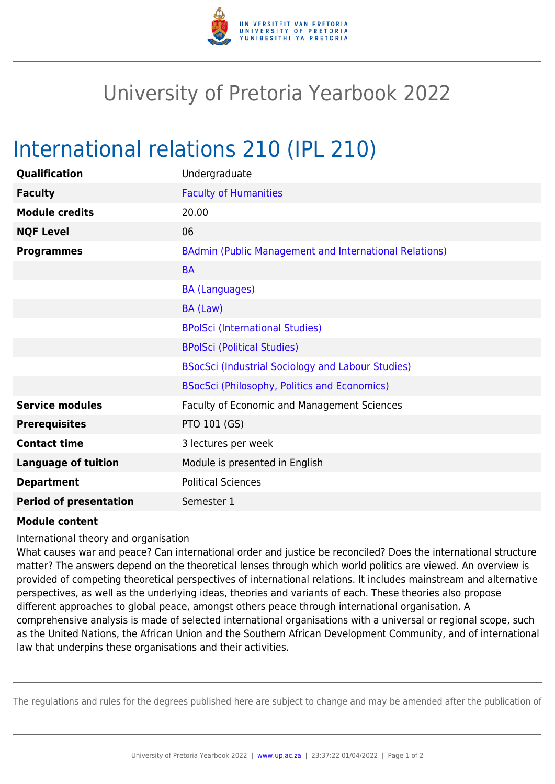

## University of Pretoria Yearbook 2022

## International relations 210 (IPL 210)

| Qualification                 | Undergraduate                                                 |
|-------------------------------|---------------------------------------------------------------|
| <b>Faculty</b>                | <b>Faculty of Humanities</b>                                  |
| <b>Module credits</b>         | 20.00                                                         |
| <b>NQF Level</b>              | 06                                                            |
| <b>Programmes</b>             | <b>BAdmin (Public Management and International Relations)</b> |
|                               | <b>BA</b>                                                     |
|                               | <b>BA (Languages)</b>                                         |
|                               | BA (Law)                                                      |
|                               | <b>BPolSci (International Studies)</b>                        |
|                               | <b>BPolSci (Political Studies)</b>                            |
|                               | <b>BSocSci (Industrial Sociology and Labour Studies)</b>      |
|                               | <b>BSocSci (Philosophy, Politics and Economics)</b>           |
| <b>Service modules</b>        | <b>Faculty of Economic and Management Sciences</b>            |
| <b>Prerequisites</b>          | PTO 101 (GS)                                                  |
| <b>Contact time</b>           | 3 lectures per week                                           |
| <b>Language of tuition</b>    | Module is presented in English                                |
| <b>Department</b>             | <b>Political Sciences</b>                                     |
| <b>Period of presentation</b> | Semester 1                                                    |

## **Module content**

International theory and organisation

What causes war and peace? Can international order and justice be reconciled? Does the international structure matter? The answers depend on the theoretical lenses through which world politics are viewed. An overview is provided of competing theoretical perspectives of international relations. It includes mainstream and alternative perspectives, as well as the underlying ideas, theories and variants of each. These theories also propose different approaches to global peace, amongst others peace through international organisation. A comprehensive analysis is made of selected international organisations with a universal or regional scope, such as the United Nations, the African Union and the Southern African Development Community, and of international law that underpins these organisations and their activities.

The regulations and rules for the degrees published here are subject to change and may be amended after the publication of